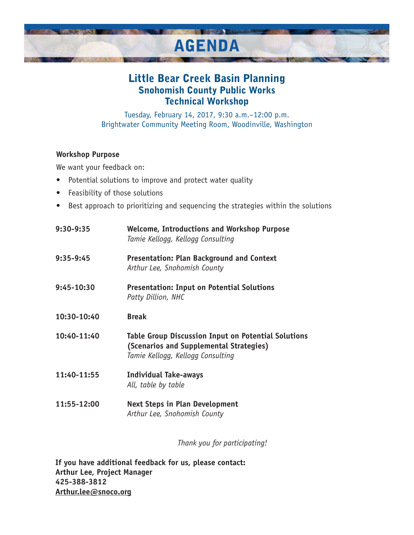

## Little Bear Creek Basin Planning Snohomish County Public Works Technical Workshop

Tuesday, February 14, 2017, 9:30 a.m.–12:00 p.m. Brightwater Community Meeting Room, Woodinville, Washington

## **Workshop Purpose**

We want your feedback on:

- Potential solutions to improve and protect water quality
- Feasibility of those solutions
- Best approach to prioritizing and sequencing the strategies within the solutions

| 9:30-9:35   | <b>Welcome, Introductions and Workshop Purpose</b><br>Tamie Kellogg, Kellogg Consulting                                             |
|-------------|-------------------------------------------------------------------------------------------------------------------------------------|
| 9:35-9:45   | <b>Presentation: Plan Background and Context</b><br>Arthur Lee, Snohomish County                                                    |
| 9:45-10:30  | <b>Presentation: Input on Potential Solutions</b><br>Patty Dillion, NHC                                                             |
| 10:30-10:40 | <b>Break</b>                                                                                                                        |
| 10:40-11:40 | Table Group Discussion Input on Potential Solutions<br>(Scenarios and Supplemental Strategies)<br>Tamie Kellogg, Kellogg Consulting |
| 11:40-11:55 | <b>Individual Take-aways</b><br>All, table by table                                                                                 |
| 11:55-12:00 | <b>Next Steps in Plan Development</b><br>Arthur Lee, Snohomish County                                                               |

*Thank you for participating!*

**If you have additional feedback for us, please contact: Arthur Lee, Project Manager 425-388-3812 Arthur.lee@snoco.org**